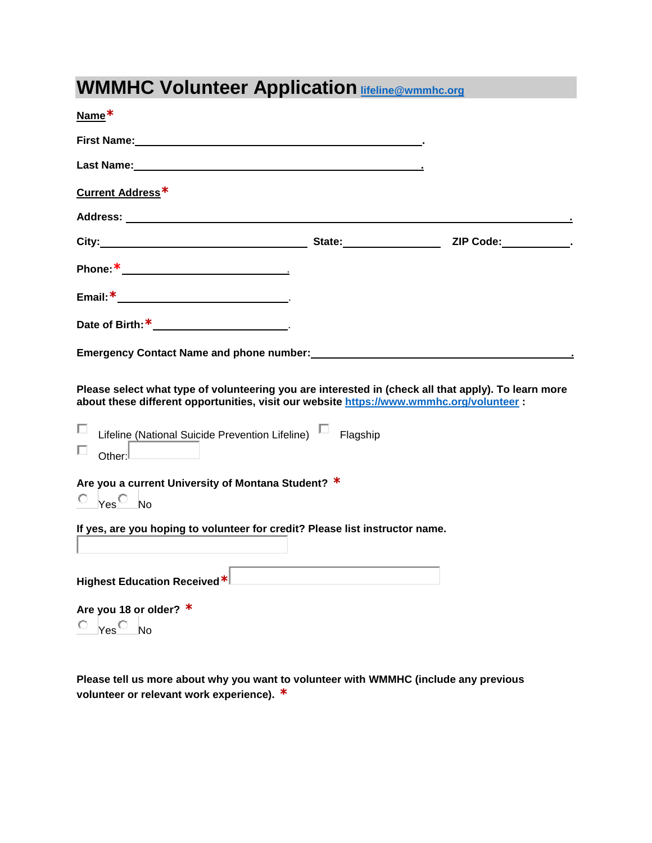# **WMMHC Volunteer Application [lifeline@wmmhc.org](mailto:lifeline@wmmhc.org)**

| Name*                                                                                                                                                                                                                                                                            |  |
|----------------------------------------------------------------------------------------------------------------------------------------------------------------------------------------------------------------------------------------------------------------------------------|--|
| First Name: The contract of the contract of the contract of the contract of the contract of the contract of the contract of the contract of the contract of the contract of the contract of the contract of the contract of th                                                   |  |
|                                                                                                                                                                                                                                                                                  |  |
| Current Address*                                                                                                                                                                                                                                                                 |  |
|                                                                                                                                                                                                                                                                                  |  |
| City: City: City: City: Culture Contains a Contain Contains a Contact City: Contains a Contain Contains a Contain Contains a Contain Contains a Contain Contains a Contain Contains a Contain Contains a Contain Contains a Co                                                   |  |
|                                                                                                                                                                                                                                                                                  |  |
|                                                                                                                                                                                                                                                                                  |  |
| Date of Birth: $*$ _________________.                                                                                                                                                                                                                                            |  |
| Emergency Contact Name and phone number: We are also asset that the sense of the sense of the sense of the sense                                                                                                                                                                 |  |
| Please select what type of volunteering you are interested in (check all that apply). To learn more<br>about these different opportunities, visit our website https://www.wmmhc.org/volunteer :<br>Lifeline (National Suicide Prevention Lifeline) Lagship<br>ш<br>Other: $\Box$ |  |
| Are you a current University of Montana Student? *<br>$\circ$ $_{\text{Yes}}$ No                                                                                                                                                                                                 |  |
| If yes, are you hoping to volunteer for credit? Please list instructor name.                                                                                                                                                                                                     |  |
| Highest Education Received*                                                                                                                                                                                                                                                      |  |
| Are you 18 or older? $*$                                                                                                                                                                                                                                                         |  |
| $\circ$ $_{\text{Yes}}$ $\circ$ $_{\text{No}}$                                                                                                                                                                                                                                   |  |

**Please tell us more about why you want to volunteer with WMMHC (include any previous volunteer or relevant work experience). \***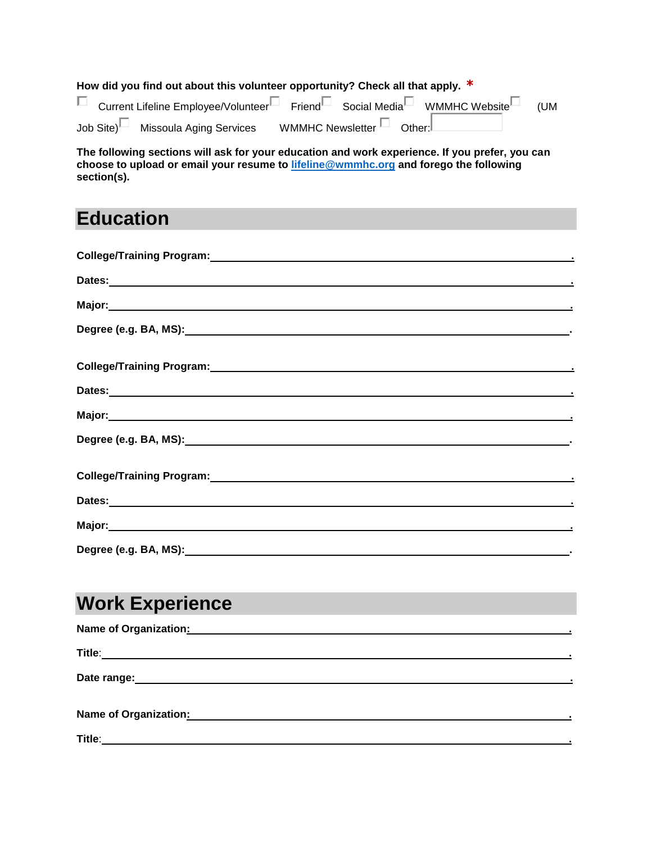**How did you find out about this volunteer opportunity? Check all that apply. \*** □ Current Lifeline Employee/Volunteer□ Friend□ Social Media□ WMMHC Website□ (UM Job Site)<sup>1</sup> Missoula Aging Services WMMHC Newsletter<sup>1</sup> Other:

**The following sections will ask for your education and work experience. If you prefer, you can choose to upload or email your resume to [lifeline@wmmhc.org](mailto:lifeline@wmmhc.org) and forego the following section(s).** 

### **Education**

| College/Training Program: College/Training Program:                                                                                                                                                                            |
|--------------------------------------------------------------------------------------------------------------------------------------------------------------------------------------------------------------------------------|
|                                                                                                                                                                                                                                |
|                                                                                                                                                                                                                                |
|                                                                                                                                                                                                                                |
|                                                                                                                                                                                                                                |
|                                                                                                                                                                                                                                |
|                                                                                                                                                                                                                                |
|                                                                                                                                                                                                                                |
|                                                                                                                                                                                                                                |
|                                                                                                                                                                                                                                |
|                                                                                                                                                                                                                                |
| Dates: experimental contract of the contract of the contract of the contract of the contract of the contract of the contract of the contract of the contract of the contract of the contract of the contract of the contract o |
|                                                                                                                                                                                                                                |
|                                                                                                                                                                                                                                |

## **Work Experience**

| <b>Name of Organization:</b>                                                                                                   |  |
|--------------------------------------------------------------------------------------------------------------------------------|--|
| Title:<br><u> 1980 - Jan Samuel Barbara, martin da shekara tsara 1980 - An tsara 1980 - An tsara 1980 - An tsara 1980 - An</u> |  |
|                                                                                                                                |  |
| Name of Organization: Manual Communication of Organization:                                                                    |  |
| Title:                                                                                                                         |  |